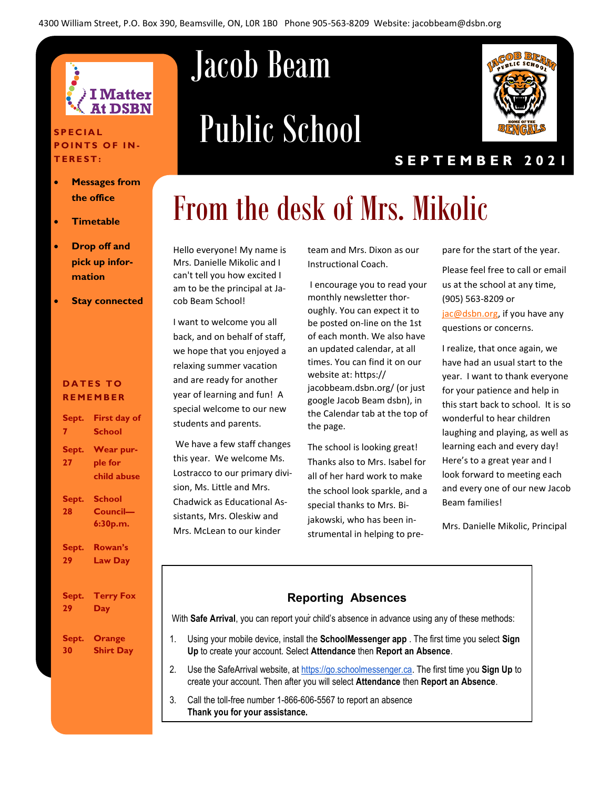

#### **S P E C I A L POINTS OF IN-T E R E S T :**

- **Messages from the office**
- **Timetable**
- **Drop off and pick up information**
- **Stay connected**

#### **DATES TO R E M E M B E R**

| Sept.        | <b>First day of</b>                        |
|--------------|--------------------------------------------|
| $\mathbf{7}$ | School                                     |
| Sept.<br>27  | <b>Wear pur-</b><br>ple for<br>child abuse |
| Sept.<br>28  | <b>School</b><br>Council-<br>6:30p.m.      |
| Sept.        | Rowan's                                    |
| 29           | <b>Law Day</b>                             |
| Sept.        | <b>Terry Fox</b>                           |
| 29.          | Day                                        |
| Sept.        | Orange                                     |
| 30           | <b>Shirt Day</b>                           |

## Jacob Beam

# Public School



#### **S E P T E M B E R 2 0 2 1**

## From the desk of Mrs. Mikolic

Hello everyone! My name is Mrs. Danielle Mikolic and I can't tell you how excited I am to be the principal at Jacob Beam School!

I want to welcome you all back, and on behalf of staff, we hope that you enjoyed a relaxing summer vacation and are ready for another year of learning and fun! A special welcome to our new students and parents.

We have a few staff changes this year. We welcome Ms. Lostracco to our primary division, Ms. Little and Mrs. Chadwick as Educational Assistants, Mrs. Oleskiw and Mrs. McLean to our kinder

team and Mrs. Dixon as our Instructional Coach.

I encourage you to read your monthly newsletter thoroughly. You can expect it to be posted on-line on the 1st of each month. We also have an updated calendar, at all times. You can find it on our website at: https:// jacobbeam.dsbn.org/ (or just google Jacob Beam dsbn), in the Calendar tab at the top of the page.

The school is looking great! Thanks also to Mrs. Isabel for all of her hard work to make the school look sparkle, and a special thanks to Mrs. Bijakowski, who has been instrumental in helping to prepare for the start of the year.

Please feel free to call or email us at the school at any time, (905) 563-8209 or [jac@dsbn.org,](mailto:jac@dsbn.org) if you have any questions or concerns.

I realize, that once again, we have had an usual start to the year. I want to thank everyone for your patience and help in this start back to school. It is so wonderful to hear children laughing and playing, as well as learning each and every day! Here's to a great year and I look forward to meeting each and every one of our new Jacob Beam families!

Mrs. Danielle Mikolic, Principal

## . With **Safe Arrival**, you can report your child's absence in advance using any of these methods: **Reporting Absences**

- 1. Using your mobile device, install the **SchoolMessenger app** . The first time you select **Sign Up** to create your account. Select **Attendance** then **Report an Absence**.
- 2. Use the SafeArrival website, at https://go.schoolmessenger.ca. The first time you **Sign Up** to create your account. Then after you will select **Attendance** then **Report an Absence**.
- 3. Call the toll-free number 1-866-606-5567 to report an absence **Thank you for your assistance.**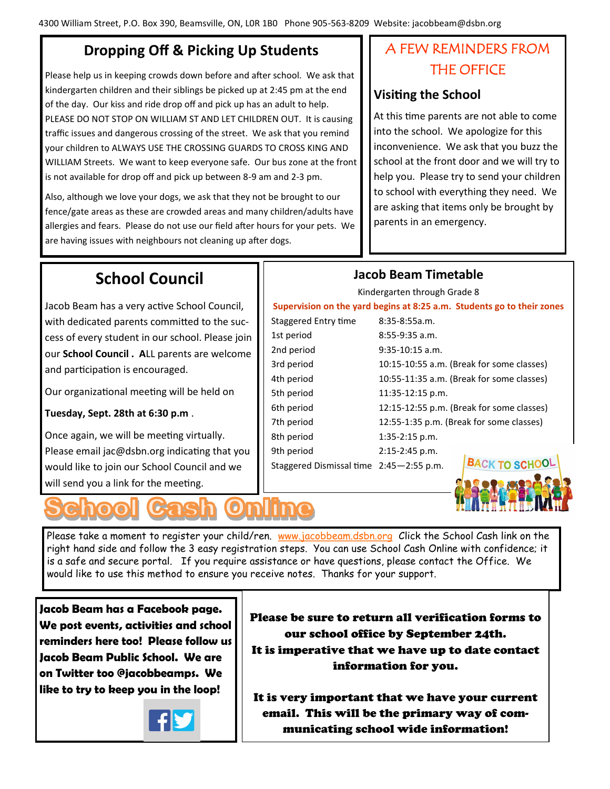### **Dropping Off & Picking Up Students**

Please help us in keeping crowds down before and after school. We ask that kindergarten children and their siblings be picked up at 2:45 pm at the end of the day. Our kiss and ride drop off and pick up has an adult to help. PLEASE DO NOT STOP ON WILLIAM ST AND LET CHILDREN OUT. It is causing traffic issues and dangerous crossing of the street. We ask that you remind your children to ALWAYS USE THE CROSSING GUARDS TO CROSS KING AND WILLIAM Streets. We want to keep everyone safe. Our bus zone at the front is not available for drop off and pick up between 8-9 am and 2-3 pm.

Also, although we love your dogs, we ask that they not be brought to our fence/gate areas as these are crowded areas and many children/adults have allergies and fears. Please do not use our field after hours for your pets. We are having issues with neighbours not cleaning up after dogs.

### A FEW REMINDERS FROM THE OFFICE

#### **Visiting the School**

At this time parents are not able to come into the school. We apologize for this inconvenience. We ask that you buzz the school at the front door and we will try to help you. Please try to send your children to school with everything they need. We are asking that items only be brought by parents in an emergency.

### **School Council**

Jacob Beam has a very active School Council, with dedicated parents committed to the success of every student in our school. Please join our **School Council . A**LL parents are welcome and participation is encouraged.

Our organizational meeting will be held on

#### **Tuesday, Sept. 28th at 6:30 p.m** .

Once again, we will be meeting virtually. Please email jac@dsbn.org indicating that you would like to join our School Council and we will send you a link for the meeting.



# some classes) some classes) 6th period 12:15-12:55 p.m. (Break for some classes)

9th period 2:15-2:45 p.m.

Staggered Dismissal time 2:45—2:55 p.m.



Please take a moment to register your child/ren. [www.jacobbeam.dsbn.org](http://dsbn.org/schoolcash/) Click the School Cash link on the right hand side and follow the 3 easy registration steps. You can use School Cash Online with confidence; it is a safe and secure portal. If you require assistance or have questions, please contact the Office. We would like to use this method to ensure you receive notes. Thanks for your support.

**Jacob Beam has a Facebook page. We post events, activities and school reminders here too! Please follow us Jacob Beam Public School. We are on Twitter too @jacobbeamps. We like to try to keep you in the loop!**



Please be sure to return all verification forms to our school office by September 24th. It is imperative that we have up to date contact information for you.

It is very important that we have your current email. This will be the primary way of communicating school wide information!

### **Jacob Beam Timetable**

Kindergarten through Grade 8

**Supervision on the yard begins at 8:25 a.m. Students go to their zones**

|                      | Supervision on the yard begins at 8:25 a.m. Students |
|----------------------|------------------------------------------------------|
| Staggered Entry time | 8:35-8:55a.m.                                        |
| 1st period           | 8:55-9:35 a.m.                                       |
| 2nd period           | $9:35-10:15$ a.m.                                    |
| 3rd period           | 10:15-10:55 a.m. (Break for :                        |
| 4th period           | 10:55-11:35 a.m. (Break for :                        |
| 5th period           | 11:35-12:15 p.m.                                     |
| $C + b$ portad       | $12.15$ $12.55$ $\mu$ $m$ $D_{222}$ $k$ $f_{223}$    |

7th period 12:55-1:35 p.m. (Break for some classes) 8th period 1:35-2:15 p.m.